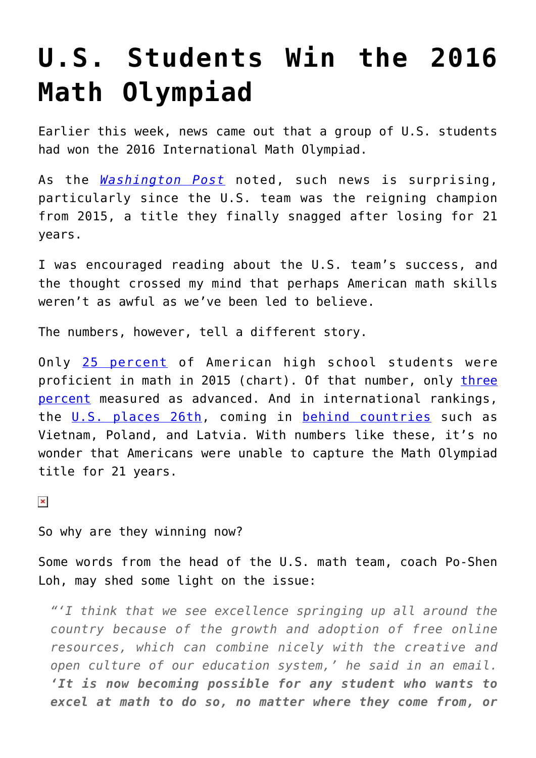## **[U.S. Students Win the 2016](https://intellectualtakeout.org/2016/07/u-s-students-win-the-2016-math-olympiad/) [Math Olympiad](https://intellectualtakeout.org/2016/07/u-s-students-win-the-2016-math-olympiad/)**

Earlier this week, news came out that a group of U.S. students had won the 2016 International Math Olympiad.

As the *[Washington Post](https://www.washingtonpost.com/news/answer-sheet/wp/2016/07/18/u-s-students-win-prestigious-international-math-olympiad-for-second-straight-year/)* noted, such news is surprising, particularly since the U.S. team was the reigning champion from 2015, a title they finally snagged after losing for 21 years.

I was encouraged reading about the U.S. team's success, and the thought crossed my mind that perhaps American math skills weren't as awful as we've been led to believe.

The numbers, however, tell a different story.

Only [25 percent](http://www.nationsreportcard.gov/) of American high school students were proficient in math in 2015 (chart). Of that number, only [three](http://www.nationsreportcard.gov/reading_math_g12_2015/#mathematics/acl#header) [percent](http://www.nationsreportcard.gov/reading_math_g12_2015/#mathematics/acl#header) measured as advanced. And in international rankings, the [U.S. places 26th,](https://www.intellectualtakeout.org/blog/10-reasons-us-declining) coming in [behind countries](http://www.oecd.org/pisa/keyfindings/pisa-2012-results-overview.pdf) such as Vietnam, Poland, and Latvia. With numbers like these, it's no wonder that Americans were unable to capture the Math Olympiad title for 21 years.

 $\pmb{\times}$ 

So why are they winning now?

Some words from the head of the U.S. math team, coach Po-Shen Loh, may shed some light on the issue:

*"'I think that we see excellence springing up all around the country because of the growth and adoption of free online resources, which can combine nicely with the creative and open culture of our education system,' he said in an email. 'It is now becoming possible for any student who wants to excel at math to do so, no matter where they come from, or*